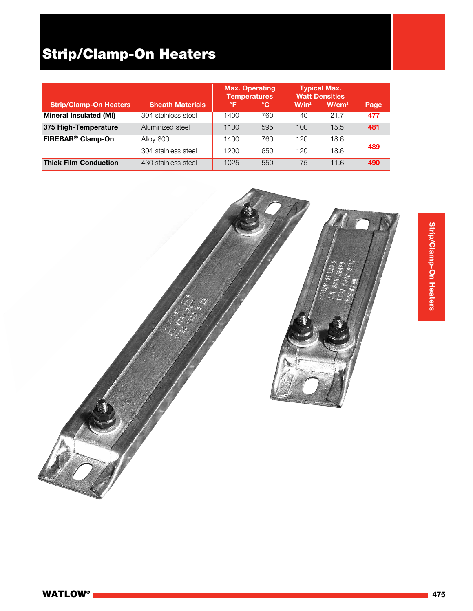|                               |                         | <b>Max. Operating</b><br><b>Temperatures</b> |              |                   | <b>Typical Max.</b><br><b>Watt Densities</b> |      |
|-------------------------------|-------------------------|----------------------------------------------|--------------|-------------------|----------------------------------------------|------|
| <b>Strip/Clamp-On Heaters</b> | <b>Sheath Materials</b> | °F                                           | $^{\circ}$ C | W/in <sup>2</sup> | W/cm <sup>2</sup>                            | Page |
| <b>Mineral Insulated (MI)</b> | 304 stainless steel     | 1400                                         | 760          | 140               | 21.7                                         | 477  |
| 375 High-Temperature          | Aluminized steel        | 1100                                         | 595          | 100               | 15.5                                         | 481  |
| FIREBAR <sup>®</sup> Clamp-On | Alloy 800               | 1400                                         | 760          | 120               | 18.6                                         | 489  |
|                               | 304 stainless steel     | 1200                                         | 650          | 120               | 18.6                                         |      |
| <b>Thick Film Conduction</b>  | 430 stainless steel     | 1025                                         | 550          | 75                | 11.6                                         | 490  |

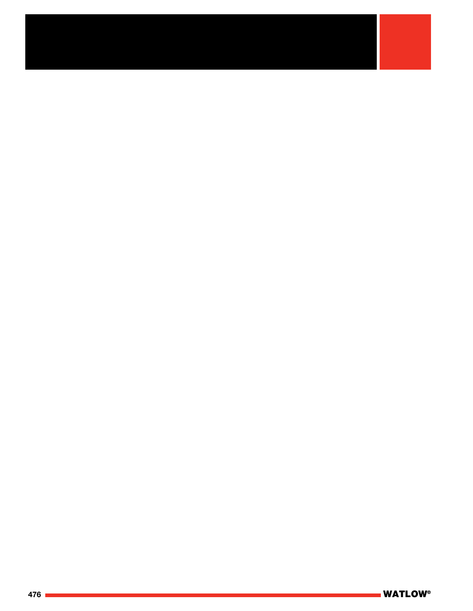#### 476 WATLOW®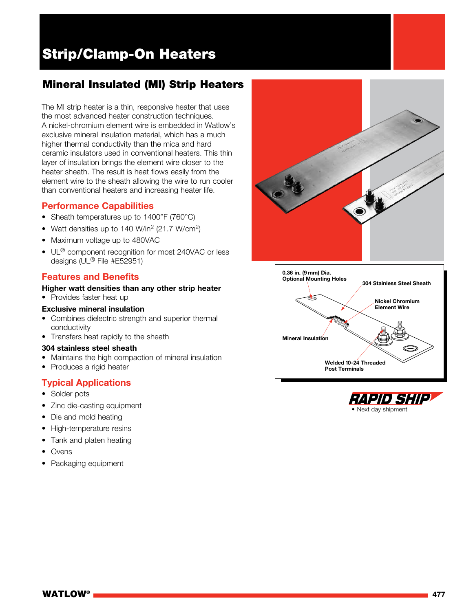# <span id="page-2-0"></span>Mineral Insulated (MI) Strip Heaters

The MI strip heater is a thin, responsive heater that uses the most advanced heater construction techniques. A nickel-chromium element wire is embedded in Watlow's exclusive mineral insulation material, which has a much higher thermal conductivity than the mica and hard ceramic insulators used in conventional heaters. This thin layer of insulation brings the element wire closer to the heater sheath. The result is heat flows easily from the element wire to the sheath allowing the wire to run cooler than conventional heaters and increasing heater life.

### Performance Capabilities

- Sheath temperatures up to 1400°F (760°C)
- Watt densities up to 140 W/in<sup>2</sup> (21.7 W/cm<sup>2</sup>)
- Maximum voltage up to 480VAC
- UL<sup>®</sup> component recognition for most 240VAC or less designs (UL® File #E52951)

#### Features and Benefits

#### Higher watt densities than any other strip heater

• Provides faster heat up

#### Exclusive mineral insulation

- Combines dielectric strength and superior thermal conductivity
- Transfers heat rapidly to the sheath

#### 304 stainless steel sheath

- Maintains the high compaction of mineral insulation
- Produces a rigid heater

#### Typical Applications

- Solder pots
- Zinc die-casting equipment
- Die and mold heating
- High-temperature resins
- Tank and platen heating
- Ovens
- Packaging equipment





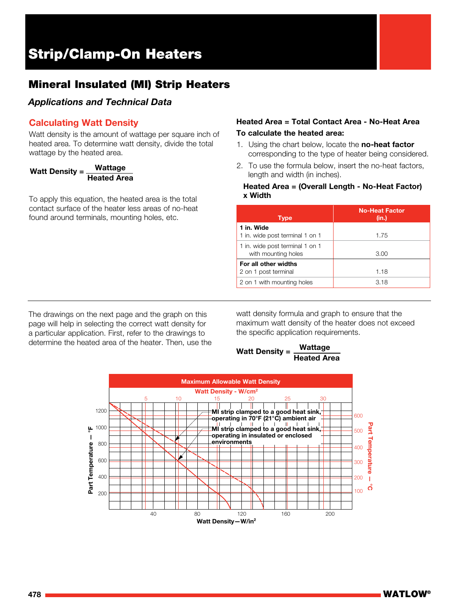# Mineral Insulated (MI) Strip Heaters

#### *Applications and Technical Data*

#### Calculating Watt Density

Watt density is the amount of wattage per square inch of heated area. To determine watt density, divide the total wattage by the heated area.

#### Watt Density =  $\frac{\text{Wattage}}{\text{Hess}$ Heated Area

To apply this equation, the heated area is the total contact surface of the heater less areas of no-heat found around terminals, mounting holes, etc.

#### Heated Area = Total Contact Area - No-Heat Area

#### To calculate the heated area:

- 1. Using the chart below, locate the no-heat factor corresponding to the type of heater being considered.
- 2. To use the formula below, insert the no-heat factors, length and width (in inches).

#### Heated Area = (Overall Length - No-Heat Factor) x Width

| Type                                                   | <b>No-Heat Factor</b><br>(in.) |
|--------------------------------------------------------|--------------------------------|
| 1 in. Wide<br>1 in. wide post terminal 1 on 1          | 1.75                           |
| 1 in. wide post terminal 1 on 1<br>with mounting holes | 3.00                           |
| For all other widths<br>2 on 1 post terminal           | 1.18                           |
| 2 on 1 with mounting holes                             | 3.18                           |

The drawings on the next page and the graph on this page will help in selecting the correct watt density for a particular application. First, refer to the drawings to determine the heated area of the heater. Then, use the watt density formula and graph to ensure that the maximum watt density of the heater does not exceed the specific application requirements.

Watt Density = Wattage Heated Area

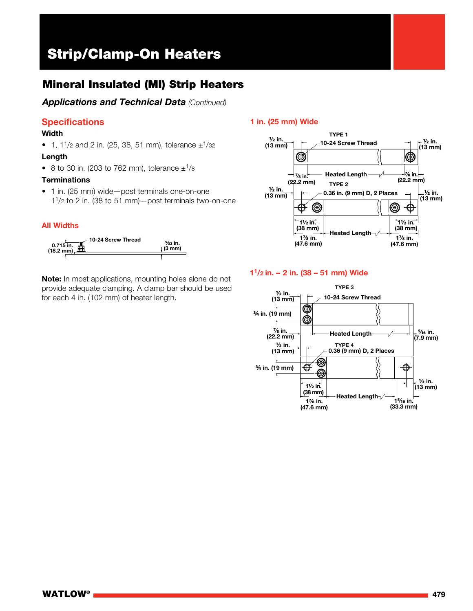#### **Strip/Clamp-On Heaters ½** in. **5⁄16** in. (7.9 mm)

### **Mineral Insulated (MI) Strip Heaters**

**Applications and Technical Data** (Continued) tions and Technical Data *(*C

### **Specifications**

### **Width**

**½** in.

**¾** in. (19 mm)

• 1,  $1^{1}/2$  and 2 in. (25, 38, 51 mm), tolerance  $\pm^{1}/32$ 

#### Length

 $\bullet$  8 to 30 in. (203 to 762 mm), tolerance  $\pm^{1}/8$ *ance* +

### **Terminations**

• 1 in. (25 mm) wide—post terminals one-on-one 11/2 to 2 in. (38 to 51 mm)—post terminals two-on-one 1**½** in. 1**½** in.

## All Widths 1**7⁄8** in. (47.6 mm)



Note: In most applications, mounting holes alone do not provide adequate clamping. A clamp bar should be used for each 4 in. (102 mm) of heater length.

### 1 in. (25 mm) Wide

(13 mm)

(13 mm) 10-24 Screw Thread



0.36 (9 mm) D, 2 Places

# 1<sup>1</sup>/<sub>2</sub> in. – 2 in. (38 – 51 mm) Wide

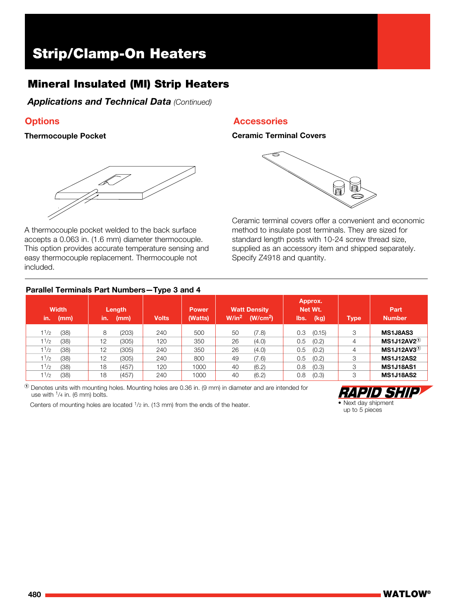## Mineral Insulated (MI) Strip Heaters

*Applications and Technical Data (Continued)*

Thermocouple Pocket



A thermocouple pocket welded to the back surface accepts a 0.063 in. (1.6 mm) diameter thermocouple. This option provides accurate temperature sensing and easy thermocouple replacement. Thermocouple not included.

#### **Options Accessories**

Ceramic Terminal Covers



Ceramic terminal covers offer a convenient and economic method to insulate post terminals. They are sized for standard length posts with 10-24 screw thread size, supplied as an accessory item and shipped separately. Specify Z4918 and quantity.

|           | Parallel Terminals Part Numbers-Type 3 and 4 |    |                |              |                         |                   |                                             |     |                                            |             |                       |  |  |  |
|-----------|----------------------------------------------|----|----------------|--------------|-------------------------|-------------------|---------------------------------------------|-----|--------------------------------------------|-------------|-----------------------|--|--|--|
| in.       | <b>Width</b><br>(mm)                         |    | Length<br>(mm) | <b>Volts</b> | <b>Power</b><br>(Watts) | W/in <sup>2</sup> | <b>Watt Density</b><br>(W/cm <sup>2</sup> ) |     | Approx.<br>Net Wt.<br>$\mathsf{lbs.}$ (kg) | <b>Type</b> | Part<br><b>Number</b> |  |  |  |
| $1^{1/2}$ | (38)                                         | 8  | (203)          | 240          | 500                     | 50                | (7.8)                                       | 0.3 | (0.15)                                     | 3           | MS1J8AS3              |  |  |  |
| $1^{1/2}$ | (38)                                         | 12 | (305)          | 120          | 350                     | 26                | (4.0)                                       | 0.5 | (0.2)                                      | 4           | $MS1J12AV2^{(1)}$     |  |  |  |
| $1^{1/2}$ | (38)                                         | 12 | (305)          | 240          | 350                     | 26                | (4.0)                                       | 0.5 | (0.2)                                      | 4           | $MS1J12AV3^{\circ}$   |  |  |  |
| $1^{1/2}$ | (38)                                         | 12 | (305)          | 240          | 800                     | 49                | (7.6)                                       | 0.5 | (0.2)                                      | 3           | <b>MS1J12AS2</b>      |  |  |  |
| $1^{1/2}$ | (38)                                         | 18 | (457)          | 120          | 1000                    | 40                | (6.2)                                       | 0.8 | (0.3)                                      | 3           | <b>MS1J18AS1</b>      |  |  |  |
| $1^{1/2}$ | (38)                                         | 18 | (457)          | 240          | 1000                    | 40                | (6.2)                                       | 0.8 | (0.3)                                      | З           | <b>MS1J18AS2</b>      |  |  |  |

 $\Omega$  Denotes units with mounting holes. Mounting holes are 0.36 in. (9 mm) in diameter and are intended for use with  $1/4$  in. (6 mm) bolts.

Centers of mounting holes are located  $1/2$  in. (13 mm) from the ends of the heater.

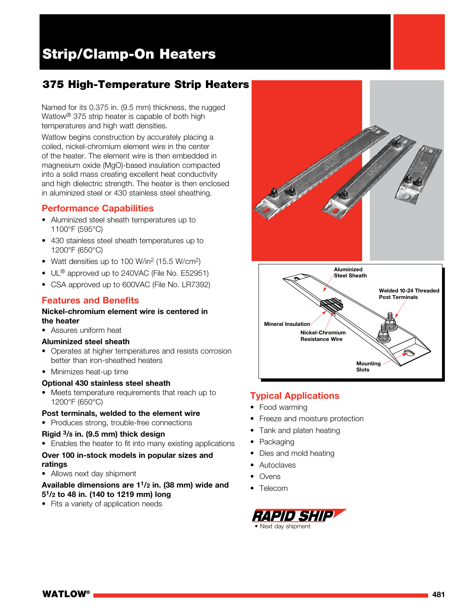# <span id="page-6-0"></span>375 High-Temperature Strip Heaters

Named for its 0.375 in. (9.5 mm) thickness, the rugged Watlow<sup>®</sup> 375 strip heater is capable of both high temperatures and high watt densities.

Watlow begins construction by accurately placing a coiled, nickel-chromium element wire in the center of the heater. The element wire is then embedded in magnesium oxide (MgO)-based insulation compacted into a solid mass creating excellent heat conductivity and high dielectric strength. The heater is then enclosed in aluminized steel or 430 stainless steel sheathing.

#### Performance Capabilities

- Aluminized steel sheath temperatures up to 1100°F (595°C)
- 430 stainless steel sheath temperatures up to 1200°F (650°C)
- Watt densities up to 100 W/in<sup>2</sup> (15.5 W/cm<sup>2</sup>)
- $UL^®$  approved up to 240VAC (File No. E52951)
- CSA approved up to 600VAC (File No. LR7392)

#### Features and Benefits

#### Nickel-chromium element wire is centered in the heater

• Assures uniform heat

#### Aluminized steel sheath

- Operates at higher temperatures and resists corrosion better than iron-sheathed heaters
- Minimizes heat-up time

#### Optional 430 stainless steel sheath

• Meets temperature requirements that reach up to 1200°F (650°C)

#### Post terminals, welded to the element wire

• Produces strong, trouble-free connections

#### Rigid  $3/8$  in. (9.5 mm) thick design

• Enables the heater to fit into many existing applications

#### Over 100 in-stock models in popular sizes and ratings

• Allows next day shipment

#### Available dimensions are  $1<sup>1</sup>/2$  in. (38 mm) wide and 51/2 to 48 in. (140 to 1219 mm) long

• Fits a variety of application needs





#### Typical Applications

- Food warming
- Freeze and moisture protection
- Tank and platen heating
- **Packaging**
- Dies and mold heating
- Autoclaves
- Ovens
- Telecom

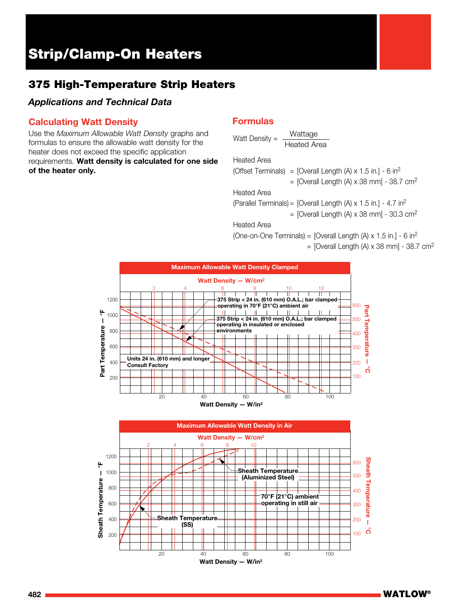#### *Applications and Technical Data*

#### Calculating Watt Density

Use the *Maximum Allowable Watt Density* graphs and formulas to ensure the allowable watt density for the heater does not exceed the specific application requirements. Watt density is calculated for one side of the heater only.

#### Formulas

| nsity graphs and               | Watt Density = $\frac{\text{Wattage}}{\text{Heated Area}}$                         |
|--------------------------------|------------------------------------------------------------------------------------|
| density for the<br>application |                                                                                    |
| llated for one side            | Heated Area                                                                        |
|                                | (Offset Terminals) = [Overall Length (A) $\times$ 1.5 in.] - 6 in <sup>2</sup>     |
|                                | $=$ [Overall Length (A) x 38 mm] - 38.7 cm <sup>2</sup>                            |
|                                | Heated Area                                                                        |
|                                | (Parallel Terminals) = $[Overall Length (A) x 1.5 in.] - 4.7 in2$                  |
|                                | $=$ [Overall Length (A) x 38 mm] - 30.3 cm <sup>2</sup>                            |
|                                | Heated Area                                                                        |
|                                | (One-on-One Terminals) = [Overall Length (A) $\times$ 1.5 in.] - 6 in <sup>2</sup> |
|                                | $=$ [Overall Length (A) x 38 mm] - 38.7 cm <sup>2</sup>                            |
|                                |                                                                                    |



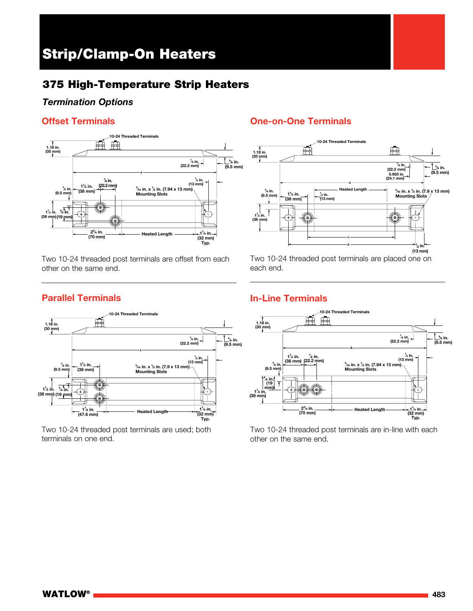# 375 High-Temperature Strip Heaters

#### *Termination Options*

#### Offset Terminals



**11⁄4 in. 23⁄4 in. Heated Length** Two 10-24 threaded post terminals are offset from each **(70 mm)** other on the same end.

#### One-on-One Terminals



**(22.2 mm)**

**(9.5 mm)**

**(13 mm) 5⁄16 in. x 1⁄2 in. (7.9 x 13 mm)**

Two 10-24 threaded post terminals are placed one on each end.

#### **Parallel Terminals**



Two 10-24 threaded post terminals are used; both terminals on one end. **10-24 Threaded Terminals**

#### In-Line Terminals



Two 10-24 threaded post terminals are in-line with each other on the same end.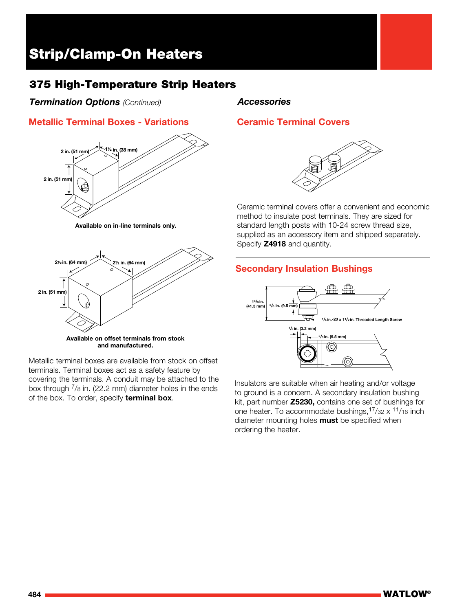### 375 High-Temperature Strip Heaters

#### *Termination Options (Continued)*

#### Metallic Terminal Boxes - Variations



Available on in-line terminals only.



Available on offset terminals from stock and manufactured.

Metallic terminal boxes are available from stock on offset terminals. Terminal boxes act as a safety feature by covering the terminals. A conduit may be attached to the box through  $\frac{7}{8}$  in. (22.2 mm) diameter holes in the ends of the box. To order, specify terminal box.

Accessories

#### **Ceramic Terminal Covers**



Ceramic terminal covers offer a convenient and economic method to insulate post terminals. They are sized for standard length posts with 10-24 screw thread size, supplied as an accessory item and shipped separately. Specify **Z4918** and quantity.

### Secondary Insulation Bushings



Insulators are suitable when air heating and/or voltage to ground is a concern. A secondary insulation bushing kit, part number **Z5230**, contains one set of bushings for one heater. To accommodate bushings,  $17/32 \times 11/16$  inch diameter mounting holes **must** be specified when ordering the heater.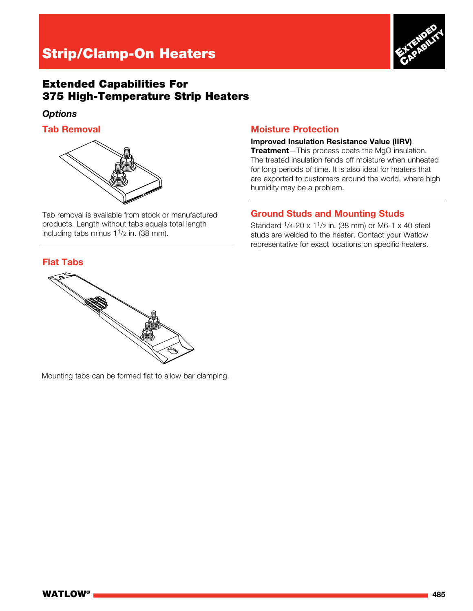

### Extended Capabilities For 375 High-Temperature Strip Heaters

#### *Options*





Tab removal is available from stock or manufactured products. Length without tabs equals total length including tabs minus  $1<sup>1</sup>/2$  in. (38 mm).

#### Flat Tabs

#### Moisture Protection

Improved Insulation Resistance Value (IIRV) Treatment-This process coats the MgO insulation. The treated insulation fends off moisture when unheated for long periods of time. It is also ideal for heaters that are exported to customers around the world, where high humidity may be a problem.

#### Ground Studs and Mounting Studs

Standard  $1/4-20 \times 11/2$  in. (38 mm) or M6-1 x 40 steel studs are welded to the heater. Contact your Watlow representative for exact locations on specific heaters.



Mounting tabs can be formed flat to allow bar clamping.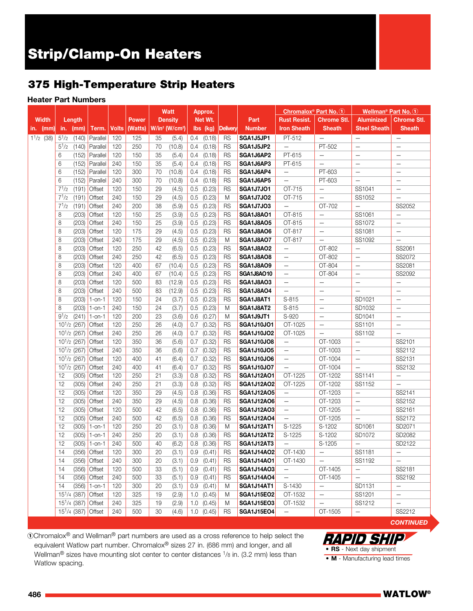#### Heater Part Numbers

|                |           |                                 |                                 |              | <b>Watt</b> |                 | Approx.           |     |                        |            | Chromalox® Part No. 1 |                          | Wellman <sup>®</sup> Part No. $\odot$ |                          |                          |
|----------------|-----------|---------------------------------|---------------------------------|--------------|-------------|-----------------|-------------------|-----|------------------------|------------|-----------------------|--------------------------|---------------------------------------|--------------------------|--------------------------|
| <b>Width</b>   |           | Length                          |                                 |              | Power       |                 | <b>Density</b>    |     | Net Wt.                |            | Part                  | <b>Rust Resist.</b>      | <b>Chrome Stl.</b>                    | <b>Aluminized</b>        | <b>Chrome Stl.</b>       |
| in. (mm)       |           | in. $(mm)$                      | Term.                           | <b>Volts</b> | (Watts)     |                 | $W/in^2 (W/cm^2)$ |     | lbs (kg)               | Delivery   | <b>Number</b>         | <b>Iron Sheath</b>       | <b>Sheath</b>                         | <b>Steel Sheath</b>      | <b>Sheath</b>            |
| $1^{1/2}$ (38) | $5^{1/2}$ | (140)                           | Parallel                        | 120          | 125         | 35              | (5.4)             | 0.4 | (0.18)                 | <b>RS</b>  | SGA1J5JP1             | PT-512                   | $\overline{\phantom{0}}$              | $\overline{\phantom{0}}$ | $\overline{\phantom{m}}$ |
|                | $5^{1/2}$ | (140)                           | Parallel                        | 120          | 250         | 70              | (10.8)            | 0.4 | (0.18)                 | <b>RS</b>  | SGA1J5JP2             | $\equiv$                 | PT-502                                | $\equiv$                 | $\overline{\phantom{0}}$ |
|                | 6         | (152)                           | Parallel                        | 120          | 150         | 35              | (5.4)             | 0.4 | (0.18)                 | <b>RS</b>  | SGA1J6AP2             | PT-615                   | $\qquad \qquad -$                     | $\qquad \qquad -$        | $\overline{\phantom{m}}$ |
|                | 6         | (152)                           | Parallel                        | 240          | 150         | 35              | (5.4)             | 0.4 | (0.18)                 | <b>RS</b>  | SGA1J6AP3             | PT-615                   | $\qquad \qquad -$                     | $\overline{\phantom{0}}$ | $\overline{\phantom{m}}$ |
|                | 6         | (152)                           | Parallel                        | 120          | 300         | 70              | (10.8)            | 0.4 | (0.18)                 | <b>RS</b>  | SGA1J6AP4             | $\qquad \qquad -$        | PT-603                                | $\qquad \qquad -$        | $\overline{\phantom{0}}$ |
|                | 6         | (152)                           | Parallel                        | 240          | 300         | 70              | (10.8)            | 0.4 | (0.18)                 | <b>RS</b>  | SGA1J6AP5             | $\overline{\phantom{0}}$ | PT-603                                | $\qquad \qquad -$        | $\overline{\phantom{0}}$ |
|                | $7^{1/2}$ | (191)                           | Offset                          | 120          | 150         | 29              | (4.5)             | 0.5 | (0.23)                 | <b>RS</b>  | <b>SGA1J7J01</b>      | OT-715                   | $\qquad \qquad -$                     | SS1041                   | -                        |
|                | $7^{1/2}$ | (191)                           | Offset                          | 240          | 150         | 29              | (4.5)             | 0.5 | (0.23)                 | M          | <b>SGA1J7JO2</b>      | OT-715                   | $\overline{\phantom{0}}$              | SS1052                   | $\equiv$                 |
|                | $7^{1/2}$ | (191)                           | Offset                          | 240          | 200         | 38              | (5.9)             | 0.5 | (0.23)                 | <b>RS</b>  | <b>SGA1J7J03</b>      | $\overline{\phantom{0}}$ | OT-702                                | $\equiv$                 | SS2052                   |
|                | 8         | (203)                           | Offset                          | 120          | 150         | $\overline{25}$ | (3.9)             | 0.5 | (0.23)                 | <b>RS</b>  | <b>SGA1J8A01</b>      | OT-815                   | $\qquad \qquad -$                     | SS1061                   | $\overline{\phantom{0}}$ |
|                | 8         | (203)                           | Offset                          | 240          | 150         | 25              | (3.9)             | 0.5 | (0.23)                 | <b>RS</b>  | <b>SGA1J8A05</b>      | OT-815                   | $\qquad \qquad -$                     | SS1072                   | $\overline{\phantom{0}}$ |
|                | 8         | (203)                           | Offset                          | 120          | 175         | 29              | (4.5)             | 0.5 | (0.23)                 | <b>RS</b>  | SGA1J8AO6             | OT-817                   | $\overline{\phantom{m}}$              | SS1081                   | $\overline{\phantom{m}}$ |
|                | 8         | (203)                           | Offset                          | 240          | 175         | 29              | (4.5)             |     | $0.5$ $(0.23)$         | M          | <b>SGA1J8A07</b>      | OT-817                   | $\qquad \qquad -$                     | SS1092                   | $\qquad \qquad -$        |
|                | 8         | (203)                           | Offset                          | 120          | 250         | 42              | (6.5)             | 0.5 | (0.23)                 | <b>RS</b>  | <b>SGA1J8A02</b>      | $\qquad \qquad -$        | OT-802                                | -                        | SS2061                   |
|                | 8         | (203)                           | Offset                          | 240          | 250         | 42              | (6.5)             | 0.5 | (0.23)                 | <b>RS</b>  | <b>SGA1J8A08</b>      | -                        | OT-802                                | $\qquad \qquad -$        | SS2072                   |
|                | 8         | (203)                           | Offset                          | 120          | 400         | 67              | (10.4)            | 0.5 | (0.23)                 | <b>RS</b>  | <b>SGA1J8A09</b>      | $\qquad \qquad -$        | OT-804                                | $\qquad \qquad -$        | SS2081                   |
|                | 8         | (203)                           | Offset                          | 240          | 400         | 67              | (10.4)            | 0.5 | (0.23)                 | <b>RS</b>  | <b>SGA1J8AO10</b>     | $\qquad \qquad -$        | OT-804                                | $\qquad \qquad -$        | SS2092                   |
|                | 8         | (203)                           | Offset                          | 120          | 500         | 83              | (12.9)            | 0.5 | (0.23)                 | <b>RS</b>  | <b>SGA1J8A03</b>      | $\qquad \qquad -$        | $\qquad \qquad -$                     | $\overline{\phantom{0}}$ | $\overline{\phantom{0}}$ |
|                | 8         | (203)                           | Offset                          | 240          | 500         | 83              | (12.9)            | 0.5 | (0.23)                 | <b>RS</b>  | <b>SGA1J8AO4</b>      | -                        | $\overline{\phantom{m}}$              | $\equiv$                 | $\overline{\phantom{0}}$ |
|                | 8         | (203)                           | $1$ -on-1                       | 120          | 150         | 24              | (3.7)             | 0.5 | (0.23)                 | RS         | SGA1J8AT1             | $S-815$                  | $\overline{\phantom{m}}$              | SD1021                   | $\overline{\phantom{0}}$ |
|                | 8         | (203)                           | $1$ -on-1                       | 240          | 150         | 24              | (3.7)             | 0.5 | (0.23)                 | M          | SGA1J8AT2             | S-815                    | $\qquad \qquad -$                     | SD1032                   | $\overline{\phantom{0}}$ |
|                | $9^{1/2}$ | (241)                           | $1$ -on-1                       | 120          | 200         | 23              | (3.6)             |     | $0.6$ $(0.27)$         | M          | SGA1J9JT1             | S-920                    | $\overline{\phantom{m}}$              | SD1041                   | $\overline{\phantom{m}}$ |
|                |           | $10^{1/2}$ (267)                | Offset                          | 120          | 250         | 26              | (4.0)             | 0.7 | (0.32)                 | <b>RS</b>  | <b>SGA1J10JO1</b>     | OT-1025                  | $\overline{\phantom{m}}$              | SS1101                   | $\overline{\phantom{m}}$ |
|                |           | $10^{1/2}$ (267)                | Offset                          | 240          | 250         | 26              | (4.0)             |     | $0.7$ $(0.32)$         | <b>RS</b>  | <b>SGA1J10JO2</b>     | OT-1025                  | $\overline{\phantom{m}}$              | SS1102                   | $\qquad \qquad -$        |
|                |           | $10^{1/2}$ (267)                | Offset                          | 120          | 350         | 36              | (5.6)             |     | $0.7$ $(0.32)$         | <b>RS</b>  | <b>SGA1J10JO8</b>     | -                        | OT-1003                               | $\qquad \qquad -$        | SS2101                   |
|                |           | $10^{1/2}$ (267)                | Offset                          | 240          | 350         | 36              | (5.6)             | 0.7 | (0.32)                 | <b>RS</b>  | <b>SGA1J10JO5</b>     | -                        | OT-1003                               | $\qquad \qquad -$        | SS2112                   |
|                |           | $10^{1/2}$ (267)                | Offset                          | 120          | 400         | 41              | (6.4)             | 0.7 | (0.32)                 | <b>RS</b>  | <b>SGA1J10JO6</b>     | $\overline{\phantom{0}}$ | OT-1004                               | $\overline{\phantom{0}}$ | SS2131                   |
|                |           | $10^{1/2}$ (267)                | Offset                          | 240          | 400         | 41              | (6.4)             | 0.7 | (0.32)                 | <b>RS</b>  | <b>SGA1J10JO7</b>     | -                        | OT-1004                               | $\overline{\phantom{0}}$ | SS2132                   |
|                | 12        | (305)                           | Offset                          | 120          | 250         | 21              | (3.3)             | 0.8 | (0.32)                 | <b>RS</b>  | SGA1J12A01            | OT-1225                  | OT-1202                               | SS1141                   | $\overline{\phantom{0}}$ |
|                | 12        | (305)                           | Offset                          | 240          | 250         | 21              | (3.3)             | 0.8 | (0.32)                 | <b>RS</b>  | <b>SGA1J12A02</b>     | OT-1225                  | OT-1202                               | SS1152                   | $\overline{\phantom{0}}$ |
|                | 12        | (305)                           | Offset                          | 120          | 350         | 29              | (4.5)             | 0.8 | (0.36)                 | <b>RS</b>  | <b>SGA1J12A05</b>     | $\qquad \qquad -$        | OT-1203                               | $\qquad \qquad -$        | SS2141                   |
|                | 12        | (305)                           | Offset                          | 240          | 350         | 29              | (4.5)             | 0.8 | (0.36)                 | <b>RS</b>  | <b>SGA1J12A06</b>     | $\overline{\phantom{0}}$ | OT-1203                               | $-$                      | SS2152                   |
|                | 12        | (305)                           | <b>Offset</b>                   | 120          | 500         | 42              | (6.5)             | 0.8 | (0.36)                 | <b>RS</b>  | <b>SGA1J12A03</b>     | -                        | OT-1205                               | $\overline{\phantom{0}}$ | SS2161                   |
|                | 12        | (305)                           | Offset                          | 240          | 500         | 42              | (6.5)             |     | $0.8$ $(0.36)$         | <b>RS</b>  | <b>SGA1J12A04</b>     | $\qquad \qquad -$        | OT-1205                               | $\overline{\phantom{0}}$ | SS2172                   |
|                | 12        | (305)                           | $1$ -on-1                       | 120          | 250         | 20              | (3.1)             |     | $0.8$ $(0.36)$         | M          | SGA1J12AT1            | S-1225                   | S-1202                                | SD1061                   | SD2071                   |
|                | 12        | (305)                           | $1$ -on-1                       | 240          | 250         | 20              | (3.1)             |     | $0.8$ $(0.36)$         | <b>RS</b>  | SGA1J12AT2            | S-1225                   | S-1202                                | SD1072                   | SD2082                   |
|                | 12        |                                 | $(305)$   1-on-1                | 240          | 500         | 40              | (6.2)             |     | $0.8$ $(0.36)$         | <b>RS</b>  | SGA1J12AT3            | $\qquad \qquad -$        | S-1205                                | $\overline{\phantom{0}}$ | SD2122                   |
|                | 14        |                                 | $(356)$ Offset                  | 120          | 300         | $20\,$          | (3.1)             |     | $\boxed{0.9 \ (0.41)}$ | ${\sf RS}$ | <b>SGA1J14A02</b>     | OT-1430                  |                                       | SS1181                   |                          |
|                | 14        |                                 | $(356)$ Offset                  | 240          | 300         | 20              | (3.1)             |     | $0.9$ $(0.41)$         | RS         | <b>SGA1J14A01</b>     | OT-1430                  | $ -$                                  | SS1192                   | $-$                      |
|                | 14        |                                 | $(356)$ Offset                  | 120          | 500         | 33              | (5.1)             |     | $0.9$ $(0.41)$         | <b>RS</b>  | <b>SGA1J14A03</b>     | $\overline{\phantom{0}}$ | OT-1405                               | $\qquad \qquad -$        | SS2181                   |
|                | 14        |                                 | $(356)$ Offset                  | 240          | 500         | 33              | (5.1)             |     | $0.9$ $(0.41)$         | RS         | <b>SGA1J14A04</b>     | $-$                      | OT-1405                               | $-$                      | SS2192                   |
|                | 14        |                                 | $(356)$ 1-on-1                  | 120          | 300         | 20              | (3.1)             |     | $0.9$ $(0.41)$         | M          | <b>SGA1J14AT1</b>     | S-1430                   | $\qquad \qquad -$                     | SD1131                   | $\overline{\phantom{0}}$ |
|                |           | 15 <sup>1</sup> /4 (387) Offset |                                 | 120          | 325         | 19              | (2.9)             |     | 1.0 (0.45)             | M          | <b>SGA1J15EO2</b>     | OT-1532                  | $\overline{\phantom{m}}$              | SS1201                   | $\overline{\phantom{m}}$ |
|                |           |                                 | 15 <sup>1</sup> /4 (387) Offset | 240          | 325         | 19              | (2.9)             |     | 1.0 (0.45)             | M          | <b>SGA1J15E03</b>     | OT-1532                  | $\overline{\phantom{0}}$              | SS1212                   | $\qquad \qquad -$        |
|                |           |                                 | 15 <sup>1</sup> /4 (387) Offset | 240          | 500         | 30              | (4.6)             |     | 1.0 (0.45)             | <b>RS</b>  | <b>SGA1J15E04</b>     | $\equiv$                 | OT-1505                               | $\overline{\phantom{0}}$ | SS2212                   |

①Chromalox® and Wellman® part numbers are used as a cross reference to help select the equivalent Watlow part number. Chromalox® sizes 27 in. (686 mm) and longer, and all Wellman<sup>®</sup> sizes have mounting slot center to center distances  $1/8$  in. (3.2 mm) less than Watlow spacing.

*CONTINUED*



• M - Manufacturing lead times

486 WATLOW®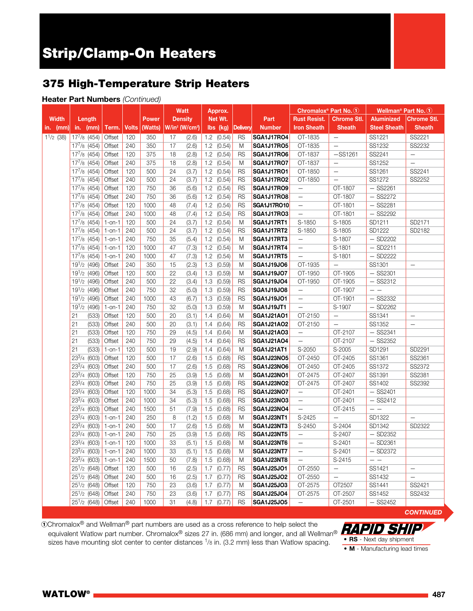#### Heater Part Numbers *(Continued)*

|              |                          |                |                                             |              |              | Watt                                   |                      | Approx.    |                  |                |                                 | Chromalox® Part No. 1    |                          | Wellman <sup>®</sup> Part No. ① |                          |
|--------------|--------------------------|----------------|---------------------------------------------|--------------|--------------|----------------------------------------|----------------------|------------|------------------|----------------|---------------------------------|--------------------------|--------------------------|---------------------------------|--------------------------|
| <b>Width</b> |                          | Length         |                                             |              | <b>Power</b> |                                        | <b>Density</b>       |            | Net Wt.          |                | Part                            | <b>Rust Resist.</b>      | Chrome Stl.              | <b>Aluminized</b>               | Chrome Stl.              |
| in. (mm)     |                          | in. (mm)       | Term.                                       | <b>Volts</b> | (Watts)      | W/in <sup>2</sup> (W/cm <sup>2</sup> ) |                      |            | lbs (kg)         | Delivery       | <b>Number</b>                   | <b>Iron Sheath</b>       | <b>Sheath</b>            | <b>Steel Sheath</b>             | <b>Sheath</b>            |
| $11/2$ (38)  | $17^{7}/8$ (454)         |                | Offset                                      | 120          | 350          | 17                                     | (2.6)                |            | $1.2$ (0.54)     | <b>RS</b>      | SGA1J17RO4                      | OT-1835                  | $\overline{\phantom{0}}$ | SS1221                          | SS2221                   |
|              | $17^{7}/8$ (454)         |                | Offset                                      | 240          | 350          | 17                                     | (2.6)                |            | $1.2$ (0.54)     | M              | SGA1J17RO5                      | OT-1835                  | $\overline{\phantom{0}}$ | SS1232                          | SS2232                   |
|              | $17^{7}/8$ (454)         |                | Offset                                      | 120          | 375          | 18                                     | (2.8)                |            | $1.2$ (0.54)     | <b>RS</b>      | SGA1J17RO6                      | OT-1837                  | $-$ SS1261               | SS2241                          | $\overline{\phantom{m}}$ |
|              | 177/8 (454)              |                | Offset                                      | 240          | 375          | 18                                     | (2.8)                |            | $1.2$ (0.54)     | M              | <b>SGA1J17RO7</b>               | OT-1837                  | $\qquad \qquad -$        | SS1252                          | $\overline{\phantom{m}}$ |
|              | $17^{7}/8$ (454)         |                | Offset                                      | 120          | 500          | 24                                     | (3.7)                |            | $1.2$ (0.54)     | RS             | SGA1J17RO1                      | OT-1850                  | $\overline{\phantom{0}}$ | SS1261                          | SS2241                   |
|              | $17^{7}/8$ (454)         |                | Offset                                      | 240          | 500          | $\overline{24}$                        | (3.7)                |            | $1.2$ (0.54)     | <b>RS</b>      | SGA1J17RO2                      | OT-1850                  | $\qquad \qquad -$        | SS1272                          | SS2252                   |
|              | $17^{7}/8$ (454)         |                | Offset                                      | 120          | 750          | 36                                     | (5.6)                |            | $1.2$ (0.54)     | <b>RS</b>      | SGA1J17RO9                      | $\qquad \qquad -$        | OT-1807                  | $-$ SS2261                      |                          |
|              | $17^{7}/8$ (454)         |                | Offset                                      | 240          | 750          | 36                                     | (5.6)                |            | $1.2$ (0.54)     | RS             | SGA1J17RO8                      | -                        | OT-1807                  | $-$ SS2272                      |                          |
|              | 177/8 (454)              |                | Offset                                      | 120          | 1000         | 48                                     | (7.4)                |            | $1.2$ (0.54)     | <b>RS</b>      | <b>SGA1J17RO10</b>              | $\qquad \qquad -$        | OT-1801                  | $-$ SS2281                      |                          |
|              | $17^{7}/8$ (454)         |                | Offset                                      | 240          | 1000         | 48                                     | (7.4)                |            | $1.2$ (0.54)     | RS             | SGA1J17RO3                      | $\qquad \qquad -$        | OT-1801                  | $-$ SS2292                      |                          |
|              | $17^{7}/8$ (454)         |                | $1 - 0n - 1$                                | 120          | 500          | 24                                     | (3.7)                |            | $1.2$ (0.54)     | M              | SGA1J17RT1                      | S-1850                   | S-1805                   | SD1211                          | SD2171                   |
|              | 177/8 (454)              |                | $1 - 0n - 1$                                | 240          | 500          | 24                                     | (3.7)                |            | $1.2$ (0.54)     | RS             | SGA1J17RT2                      | S-1850                   | S-1805                   | SD1222                          | SD2182                   |
|              | 177/8 (454)              |                | $1-0n-1$                                    | 240          | 750          | 35                                     | (5.4)                |            | $1.2$ (0.54)     | M              | SGA1J17RT3                      | —                        | S-1807                   | $-$ SD2202                      |                          |
|              | $17^{7}/8$ (454)         |                | $1-0n-1$                                    | 120          | 1000         | 47                                     | (7.3)                |            | 1.2 $(0.54)$     | M              | SGA1J17RT4                      | $\qquad \qquad -$        | S-1801                   | $-$ SD2211                      |                          |
|              | 177/8 (454)              |                | $1 - 0n - 1$                                | 240          | 1000         | 47                                     | (7.3)                | 1.2        | (0.54)           | M              | SGA1J17RT5                      | $\overline{\phantom{0}}$ | S-1801                   | $-$ SD2222                      |                          |
|              | 19 <sup>1</sup> /2 (496) |                | Offset                                      | 240          | 350          | 15                                     | (2.3)                | 1.3        | (0.59)           | Μ              | <b>SGA1J19JO6</b>               | OT-1935                  | -                        | SS1301                          | $\overline{\phantom{m}}$ |
|              | 19 <sup>1</sup> /2 (496) |                | Offset                                      | 120          | 500          | 22                                     | (3.4)                | 1.3        | (0.59)           | M              | <b>SGA1J19JO7</b>               | OT-1950                  | OT-1905                  | $-$ SS2301                      |                          |
|              | 19 <sup>1</sup> /2 (496) |                | Offset                                      | 240          | 500          | 22                                     | (3.4)                | 1.3        | (0.59)           | <b>RS</b>      | <b>SGA1J19JO4</b>               | OT-1950                  | OT-1905                  | $-$ SS2312                      |                          |
|              | 191/2 (496)              |                | Offset                                      | 240          | 750          | 32                                     | (5.0)                |            | $1.3$ $(0.59)$   | <b>RS</b>      | <b>SGA1J19JO8</b>               | $\qquad \qquad -$        | OT-1907                  | $- -$                           |                          |
|              | $19^{1/2}$ (496)         |                | Offset                                      | 240          | 1000         | 43                                     | (6.7)                | 1.3        | (0.59)           | <b>RS</b>      | <b>SGA1J19JO1</b>               | $\qquad \qquad -$        | OT-1901                  | $-$ SS2332                      |                          |
|              | $19^{1/2}$ (496)         |                | $1 - 0n - 1$                                | 240          | 750          | 32                                     | (5.0)                | 1.3        | (0.59)           | M              | SGA1J19JT1                      | $\overline{\phantom{0}}$ | S-1907                   | $-$ SD2262                      |                          |
|              | 21                       | (533)          | Offset                                      | 120          | 500          | 20                                     | (3.1)                | 1.4        | (0.64)           | M              | <b>SGA1J21AO1</b>               | OT-2150                  | $\overline{\phantom{0}}$ | SS1341                          | $\overline{\phantom{m}}$ |
|              | 21                       | (533)          | Offset                                      | 240          | 500          | 20                                     | (3.1)                | 1.4        | (0.64)           | RS             | <b>SGA1J21AO2</b>               | OT-2150                  | $\overline{\phantom{0}}$ | SS1352                          | $\qquad \qquad -$        |
|              | 21                       | (533)          | Offset                                      | 120          | 750<br>750   | 29                                     | (4.5)                | 1.4        | (0.64)           | M              | <b>SGA1J21A03</b>               | $\overline{\phantom{0}}$ | OT-2107                  | $-$ SS2341                      |                          |
|              | 21<br>21                 | (533)          | Offset                                      | 240<br>120   | 500          | 29<br>19                               | (4.5)                |            | $1.4$ (0.64)     | <b>RS</b>      | <b>SGA1J21AO4</b>               | -                        | OT-2107                  | $-$ SS2352<br>SD1291            |                          |
|              | $23^{3}/4$               | (533)<br>(603) | $1 - 0n - 1$<br>Offset                      | 120          | 500          | 17                                     | (2.9)<br>(2.6)       | 1.4<br>1.5 | (0.64)<br>(0.68) | M<br><b>RS</b> | SGA1J21AT1<br><b>SGA1J23NO5</b> | S-2050<br>OT-2450        | S-2005<br>OT-2405        | SS1361                          | SD2291<br>SS2361         |
|              | 233/4 (603)              |                | Offset                                      | 240          | 500          | 17                                     | (2.6)                | 1.5        | (0.68)           | <b>RS</b>      | SGA1J23NO6                      | OT-2450                  | OT-2405                  | SS1372                          | SS2372                   |
|              | $23^{3}/4$ (603)         |                | Offset                                      | 120          | 750          | 25                                     | (3.9)                | 1.5        | (0.68)           | M              | <b>SGA1J23NO1</b>               | OT-2475                  | OT-2407                  | SS1391                          | SS2381                   |
|              | 233/4 (603)              |                | Offset                                      | 240          | 750          | 25                                     | (3.9)                | 1.5        | (0.68)           | <b>RS</b>      | SGA1J23NO2                      | OT-2475                  | OT-2407                  | SS1402                          | SS2392                   |
|              | $23^{3}/4$ (603)         |                | Offset                                      | 120          | 1000         | 34                                     | (5.3)                | 1.5        | (0.68)           | <b>RS</b>      | SGA1J23NO7                      | $\qquad \qquad -$        | OT-2401                  | $-$ SS2401                      |                          |
|              | $23^{3}/4$ (603)         |                | Offset                                      | 240          | 1000         | 34                                     | (5.3)                | 1.5        | (0.68)           | <b>RS</b>      | SGA1J23NO3                      | $\qquad \qquad -$        | OT-2401                  | $-$ SS2412                      |                          |
|              | 233/4 (603)              |                | Offset                                      | 240          | 1500         | 51                                     | (7.9)                | 1.5        | (0.68)           | <b>RS</b>      | <b>SGA1J23NO4</b>               | $\qquad \qquad -$        | OT-2415                  | $ -$                            |                          |
|              | 233/4 (603)              |                | $1-0n-1$                                    | 240          | 250          | 8                                      | (1.2)                | 1.5        | (0.68)           | M              | SGA1J23NT1                      | S-2425                   | $\qquad \qquad -$        | SD1322                          | $\qquad \qquad -$        |
|              | $23^{3}/4$ (603)         |                | $1 - 0n - 1$                                | 240          | 500          | 17                                     | (2.6)                | 1.5        | (0.68)           | M              | SGA1J23NT3                      | S-2450                   | S-2404                   | SD1342                          | SD2322                   |
|              | 233/4 (603)              |                | $1 - 0n - 1$                                | 240          | 750          | 25                                     | (3.9)                | 1.5        | (0.68)           | <b>RS</b>      | SGA1J23NT5                      | $\qquad \qquad -$        | S-2407                   | $-$ SD2352                      |                          |
|              |                          |                | $\sqrt{23^3}/4$ (603) 1-on-1                | 120          | 1000         | 33                                     | (5.1)                |            | 1.5 (0.68)       | Μ              | SGA1J23NT6                      | $\qquad \qquad -$        | S-2401                   | $-$ SD2361                      |                          |
|              |                          |                | 23 <sup>3</sup> /4 (603) 1-on-1 240         |              | 1000         | $\overline{33}$                        | $(5.1)$ 1.5 $(0.68)$ |            |                  | M              | SGA1J23NT7                      |                          | $S-2401$                 | $-$ SD2372                      |                          |
|              |                          |                | 233/4 (603) 1-on-1                          | 240          | 1500         | 50                                     | (7.8)                |            | $1.5$ (0.68)     | M              | SGA1J23NT8                      | $-$                      | S-2415                   | $- -$                           |                          |
|              |                          |                | 25 <sup>1</sup> / <sub>2</sub> (648) Offset | 120          | 500          | 16                                     | (2.5)                |            | 1.7 $(0.77)$     | <b>RS</b>      | <b>SGA1J25JO1</b>               | OT-2550                  | $-$                      | SS1421                          | $\qquad \qquad -$        |
|              |                          |                | 25 <sup>1</sup> / <sub>2</sub> (648) Offset | 240          | 500          | 16                                     | (2.5)                |            | $1.7$ (0.77)     | RS             | <b>SGA1J25JO2</b>               | OT-2550                  | $-$                      | SS1432                          | $\overline{\phantom{m}}$ |
|              |                          |                | 25 <sup>1</sup> / <sub>2</sub> (648) Offset | 120          | 750          | 23                                     | (3.6)                |            | $1.7$ (0.77)     | M              | <b>SGA1J25JO3</b>               | OT-2575                  | OT2507                   | SS1441                          | SS2421                   |
|              |                          |                | 25 <sup>1</sup> / <sub>2</sub> (648) Offset | 240          | 750          | 23                                     | (3.6)                |            | $1.7$ (0.77)     | RS             | <b>SGA1J25JO4</b>               | OT-2575                  | OT-2507                  | SS1452                          | SS2432                   |
|              |                          |                | 25 <sup>1</sup> / <sub>2</sub> (648) Offset | 240          | 1000         | 31                                     | (4.8)                |            | 1.7 $(0.77)$     | <b>RS</b>      | <b>SGA1J25JO5</b>               | $ \,$                    | OT-2501                  | $-$ SS2452                      |                          |
|              |                          |                |                                             |              |              |                                        |                      |            |                  |                |                                 |                          |                          |                                 | <b>CONTINUED</b>         |

 $\mathbb O$ Chromalox® and Wellman® part numbers are used as a cross reference to help select the equivalent Watlow part number. Chromalox® sizes 27 in. (686 mm) and longer, and all Wellman® *RAPID SHIP* sizes have mounting slot center to center distances  $1/8$  in. (3.2 mm) less than Watlow spacing.

• RS - Next day shipment

• M - Manufacturing lead times

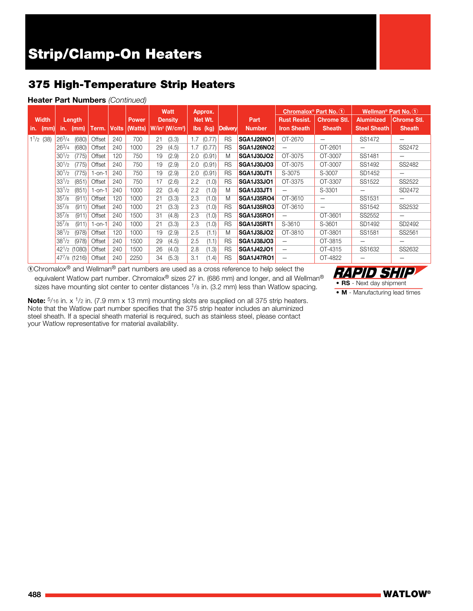#### Heater Part Numbers *(Continued)*

|                |            |                                       |             |              |              |    | Watt              | Approx. |                     |           |                   | Chromalox <sup>®</sup> Part No. (1) |                    | Wellman <sup>®</sup> Part No. (1) |                    |
|----------------|------------|---------------------------------------|-------------|--------------|--------------|----|-------------------|---------|---------------------|-----------|-------------------|-------------------------------------|--------------------|-----------------------------------|--------------------|
| <b>Width</b>   |            | Length                                |             |              | <b>Power</b> |    | <b>Density</b>    |         | Net Wt.             |           | Part              | <b>Rust Resist.</b>                 | <b>Chrome Stl.</b> | <b>Aluminized</b>                 | <b>Chrome Stl.</b> |
| in.<br>(mm)    | in.        | (mm)                                  | Term.       | <b>Volts</b> | (Watts)      |    | $W/in^2 (W/cm^2)$ |         | $\mathsf{lbs}$ (kg) | Delivery  | <b>Number</b>     | <b>Iron Sheath</b>                  | <b>Sheath</b>      | <b>Steel Sheath</b>               | <b>Sheath</b>      |
| $1^{1/2}$ (38) | $26^{3}/4$ | (680)                                 | Offset      | 240          | 700          | 21 | (3.3)             | 1.7     | (0.77)              | <b>RS</b> | <b>SGA1J26NO1</b> | OT-2670                             | —                  | SS1472                            | –                  |
|                | $26^{3}/4$ | (680)                                 | Offset      | 240          | 1000         | 29 | (4.5)             | 1.7     | (0.77)              | <b>RS</b> | SGA1J26NO2        | —                                   | OT-2601            |                                   | SS2472             |
|                | $30^{1/2}$ | (775)                                 | Offset      | 120          | 750          | 19 | (2.9)             | 2.0     | (0.91)              | M         | <b>SGA1J30JO2</b> | OT-3075                             | OT-3007            | SS1481                            |                    |
|                | $30^{1/2}$ | (775)                                 | Offset      | 240          | 750          | 19 | (2.9)             | 2.0     | (0.91)              | <b>RS</b> | <b>SGA1J30JO3</b> | OT-3075                             | OT-3007            | SS1492                            | SS2482             |
|                | $30^{1/2}$ | (775)                                 | $-$ on $-1$ | 240          | 750          | 19 | (2.9)             | 2.0     | (0.91)              | <b>RS</b> | SGA1J30JT1        | S-3075                              | S-3007             | SD1452                            |                    |
|                | $33^{1/2}$ | (851)                                 | Offset      | 240          | 750          | 17 | (2.6)             | $2.2\,$ | (1.0)               | <b>RS</b> | <b>SGA1J33J01</b> | OT-3375                             | OT-3307            | SS1522                            | SS2522             |
|                | $33^{1/2}$ | (851)                                 | $-$ on $-1$ | 240          | 1000         | 22 | (3.4)             | 2.2     | (1.0)               | M         | <b>SGA1J33JT1</b> | —                                   | S-3301             | -                                 | SD2472             |
|                | $35^{7}/8$ | (911)                                 | Offset      | 120          | 1000         | 21 | (3.3)             | 2.3     | (1.0)               | M         | <b>SGA1J35RO4</b> | OT-3610                             | -                  | SS1531                            |                    |
|                | $35^{7}/8$ | (911)                                 | Offset      | 240          | 1000         | 21 | (3.3)             | 2.3     | (1.0)               | <b>RS</b> | <b>SGA1J35RO3</b> | OT-3610                             | -                  | SS1542                            | SS2532             |
|                | $35^{7}/8$ | (911)                                 | Offset      | 240          | 1500         | 31 | (4.8)             | 2.3     | (1.0)               | <b>RS</b> | <b>SGA1J35RO1</b> | $\overline{\phantom{0}}$            | OT-3601            | SS2552                            |                    |
|                | $35^{7}/8$ | (911)                                 | l-on-1      | 240          | 1000         | 21 | (3.3)             | 2.3     | (1.0)               | <b>RS</b> | SGA1J35RT1        | S-3610                              | S-3601             | SD1492                            | SD2492             |
|                | $38^{1/2}$ | (978)                                 | Offset      | 120          | 1000         | 19 | (2.9)             | 2.5     | (1.1)               | M         | <b>SGA1J38JO2</b> | OT-3810                             | OT-3801            | SS1581                            | SS2561             |
|                | $38^{1/2}$ | (978)                                 | Offset      | 240          | 1500         | 29 | (4.5)             | 2.5     | (1.1)               | <b>RS</b> | <b>SGA1J38JO3</b> |                                     | OT-3815            | —                                 | —                  |
|                |            | 42 <sup>1</sup> / <sub>2</sub> (1080) | Offset      | 240          | 1500         | 26 | (4.0)             | 2.8     | (1.3)               | <b>RS</b> | <b>SGA1J42J01</b> |                                     | OT-4315            | SS1632                            | SS2632             |
|                |            | $47^{7}/8$ (1216)                     | Offset      | 240          | 2250         | 34 | (5.3)             | 3.1     | (1.4)               | <b>RS</b> | SGA1J47RO1        | —                                   | OT-4822            | —                                 |                    |

①Chromalox® and Wellman® part numbers are used as a cross reference to help select the equivalent Watlow part number. Chromalox® sizes 27 in. (686 mm) and longer, and all Wellman® sizes have mounting slot center to center distances  $1/8$  in. (3.2 mm) less than Watlow spacing.

Note:  $5/16$  in. x  $1/2$  in. (7.9 mm x 13 mm) mounting slots are supplied on all 375 strip heaters. Note that the Watlow part number specifies that the 375 strip heater includes an aluminized steel sheath. If a special sheath material is required, such as stainless steel, please contact your Watlow representative for material availability.

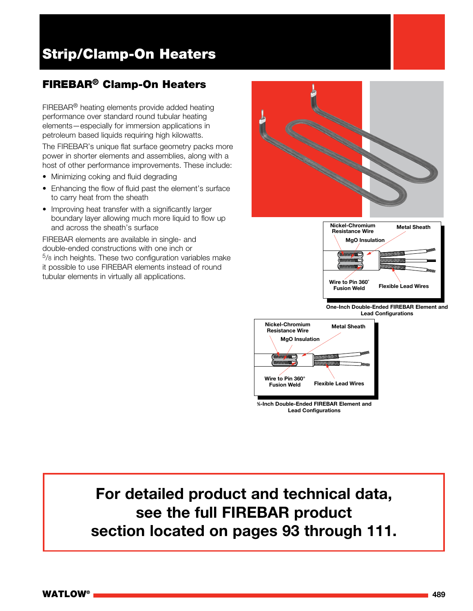# <span id="page-14-0"></span>FIREBAR® Clamp-On Heaters

FIREBAR® heating elements provide added heating performance over standard round tubular heating elements—especially for immersion applications in petroleum based liquids requiring high kilowatts.

The FIREBAR's unique flat surface geometry packs more power in shorter elements and assemblies, along with a host of other performance improvements. These include:

- Minimizing coking and fluid degrading
- Enhancing the flow of fluid past the element's surface to carry heat from the sheath
- Improving heat transfer with a significantly larger boundary layer allowing much more liquid to flow up and across the sheath's surface

FIREBAR elements are available in single- and double-ended constructions with one inch or  $5/8$  inch heights. These two configuration variables make it possible to use FIREBAR elements instead of round tubular elements in virtually all applications.





One-Inch Double-Ended FIREBAR Element and Lead Configurations



5 ⁄8-Inch Double-Ended FIREBAR Element and Lead Configurations

For detailed product and technical data, see the full FIREBAR product section located on pages 93 through 111.